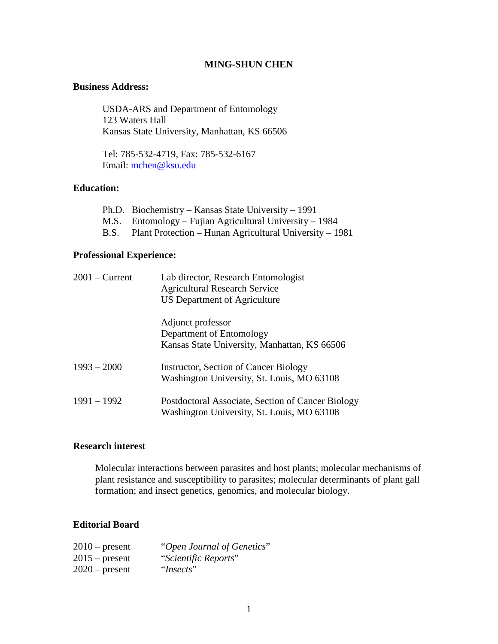#### **MING-SHUN CHEN**

#### **Business Address:**

USDA-ARS and Department of Entomology 123 Waters Hall Kansas State University, Manhattan, KS 66506

Tel: 785-532-4719, Fax: 785-532-6167 Email: [mchen@ksu.edu](mailto:mchen@oznet.ksu.edu)

### **Education:**

| Ph.D. Biochemistry – Kansas State University – 1991          |
|--------------------------------------------------------------|
| M.S. Entomology – Fujian Agricultural University – 1984      |
| B.S. Plant Protection – Hunan Agricultural University – 1981 |

#### **Professional Experience:**

| $2001 -$ Current | Lab director, Research Entomologist<br><b>Agricultural Research Service</b><br>US Department of Agriculture |
|------------------|-------------------------------------------------------------------------------------------------------------|
|                  | Adjunct professor<br>Department of Entomology<br>Kansas State University, Manhattan, KS 66506               |
| $1993 - 2000$    | <b>Instructor, Section of Cancer Biology</b><br>Washington University, St. Louis, MO 63108                  |
| $1991 - 1992$    | Postdoctoral Associate, Section of Cancer Biology<br>Washington University, St. Louis, MO 63108             |

### **Research interest**

Molecular interactions between parasites and host plants; molecular mechanisms of plant resistance and susceptibility to parasites; molecular determinants of plant gall formation; and insect genetics, genomics, and molecular biology.

# **Editorial Board**

| $2010$ – present | "Open Journal of Genetics" |
|------------------|----------------------------|
| $2015$ – present | "Scientific Reports"       |
| $2020$ – present | "Insects"                  |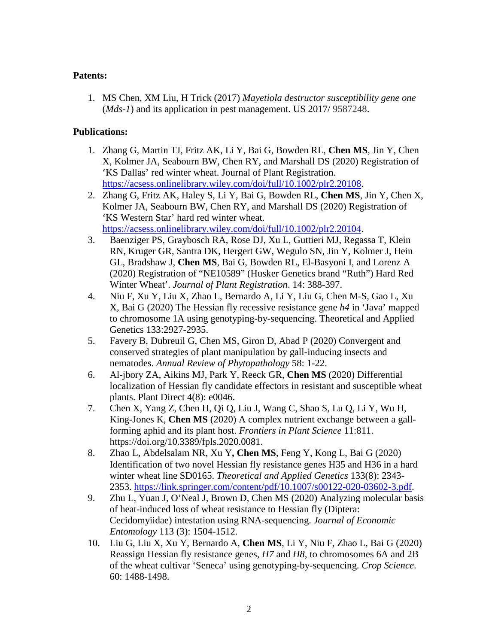## **Patents:**

1. MS Chen, XM Liu, H Trick (2017) *Mayetiola destructor susceptibility gene one* (*Mds-1*) and its application in pest management. US 2017/ 9587248.

# **Publications:**

- 1. Zhang G, Martin TJ, Fritz AK, Li Y, Bai G, Bowden RL, **Chen MS**, Jin Y, Chen X, Kolmer JA, Seabourn BW, Chen RY, and Marshall DS (2020) Registration of 'KS Dallas' red winter wheat. Journal of Plant Registration. [https://acsess.onlinelibrary.wiley.com/doi/full/10.1002/plr2.20108.](https://acsess.onlinelibrary.wiley.com/doi/full/10.1002/plr2.20108)
- 2. Zhang G, Fritz AK, Haley S, Li Y, Bai G, Bowden RL, **Chen MS**, Jin Y, Chen X, Kolmer JA, Seabourn BW, Chen RY, and Marshall DS (2020) Registration of 'KS Western Star' hard red winter wheat. [https://acsess.onlinelibrary.wiley.com/doi/full/10.1002/plr2.20104.](https://acsess.onlinelibrary.wiley.com/doi/full/10.1002/plr2.20104)
- 3. Baenziger PS, Graybosch RA, Rose DJ, Xu L, Guttieri MJ, Regassa T, Klein RN, Kruger GR, Santra DK, Hergert GW, Wegulo SN, Jin Y, Kolmer J, Hein GL, Bradshaw J, **Chen MS**, Bai G, Bowden RL, El-Basyoni I, and Lorenz A (2020) Registration of "NE10589" (Husker Genetics brand "Ruth") Hard Red Winter Wheat'. *Journal of Plant Registration*. 14: 388-397.
- 4. Niu F, Xu Y, Liu X, Zhao L, Bernardo A, Li Y, Liu G, Chen M-S, Gao L, Xu X, Bai G (2020) The Hessian fly recessive resistance gene *h4* in 'Java' mapped to chromosome 1A using genotyping-by-sequencing. Theoretical and Applied Genetics 133:2927-2935.
- 5. Favery B, Dubreuil G, Chen MS, Giron D, Abad P (2020) Convergent and conserved strategies of plant manipulation by gall-inducing insects and nematodes. *Annual Review of Phytopathology* 58: 1-22.
- 6. Al-jbory ZA, Aikins MJ, Park Y, Reeck GR, **Chen MS** (2020) Differential localization of Hessian fly candidate effectors in resistant and susceptible wheat plants. Plant Direct 4(8): e0046.
- 7. Chen X, Yang Z, Chen H, Qi Q, Liu J, Wang C, Shao S, Lu Q, Li Y, Wu H, King-Jones K, **Chen MS** (2020) A complex nutrient exchange between a gallforming aphid and its plant host. *Frontiers in Plant Science* 11:811. https://doi.org/10.3389/fpls.2020.0081.
- 8. Zhao L, Abdelsalam NR, Xu Y**, Chen MS**, Feng Y, Kong L, Bai G (2020) Identification of two novel Hessian fly resistance genes H35 and H36 in a hard winter wheat line SD0165. *Theoretical and Applied Genetics* 133(8): 2343- 2353. [https://link.springer.com/content/pdf/10.1007/s00122-020-03602-3.pdf.](https://link.springer.com/content/pdf/10.1007/s00122-020-03602-3.pdf)
- 9. Zhu L, Yuan J, O'Neal J, Brown D, Chen MS (2020) Analyzing molecular basis of heat-induced loss of wheat resistance to Hessian fly (Diptera: Cecidomyiidae) intestation using RNA-sequencing. *Journal of Economic Entomology* 113 (3): 1504-1512.
- 10. Liu G, Liu X, Xu Y, Bernardo A, **Chen MS**, Li Y, Niu F, Zhao L, Bai G (2020) Reassign Hessian fly resistance genes, *H7* and *H8*, to chromosomes 6A and 2B of the wheat cultivar 'Seneca' using genotyping-by-sequencing. *Crop Science*. 60: 1488-1498.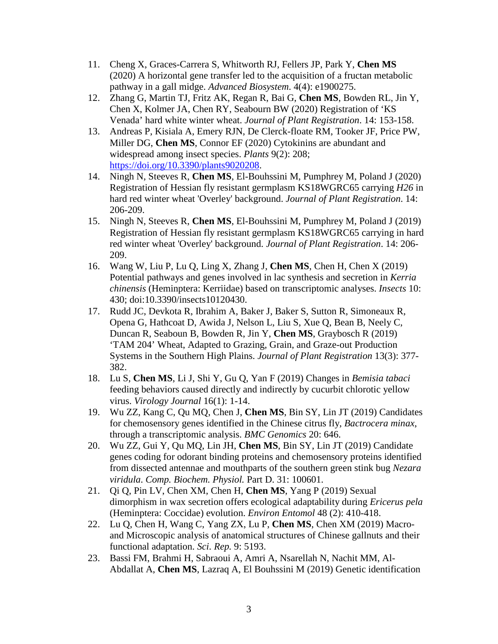- 11. Cheng X, Graces-Carrera S, Whitworth RJ, Fellers JP, Park Y, **Chen MS** (2020) A horizontal gene transfer led to the acquisition of a fructan metabolic pathway in a gall midge. *Advanced Biosystem*. 4(4): e1900275.
- 12. Zhang G, Martin TJ, Fritz AK, Regan R, Bai G, **Chen MS**, Bowden RL, Jin Y, Chen X, Kolmer JA, Chen RY, Seabourn BW (2020) Registration of 'KS Venada' hard white winter wheat. *Journal of Plant Registration*. 14: 153-158.
- 13. Andreas P, Kisiala A, Emery RJN, De Clerck-floate RM, Tooker JF, Price PW, Miller DG, **Chen MS**, Connor EF (2020) Cytokinins are abundant and widespread among insect species. *Plants* 9(2): 208; [https://doi.org/10.3390/plants9020208.](https://doi.org/10.3390/plants9020208)
- 14. Ningh N, Steeves R, **Chen MS**, El-Bouhssini M, Pumphrey M, Poland J (2020) Registration of Hessian fly resistant germplasm KS18WGRC65 carrying *H26* in hard red winter wheat 'Overley' background. *Journal of Plant Registration*. 14: 206-209.
- 15. Ningh N, Steeves R, **Chen MS**, El-Bouhssini M, Pumphrey M, Poland J (2019) Registration of Hessian fly resistant germplasm KS18WGRC65 carrying in hard red winter wheat 'Overley' background. *Journal of Plant Registration*. 14: 206- 209.
- 16. Wang W, Liu P, Lu Q, Ling X, Zhang J, **Chen MS**, Chen H, Chen X (2019) Potential pathways and genes involved in lac synthesis and secretion in *Kerria chinensis* (Heminptera: Kerriidae) based on transcriptomic analyses. *Insects* 10: 430; doi:10.3390/insects10120430.
- 17. Rudd JC, Devkota R, Ibrahim A, Baker J, Baker S, Sutton R, Simoneaux R, Opena G, Hathcoat D, Awida J, Nelson L, Liu S, Xue Q, Bean B, Neely C, Duncan R, Seaboun B, Bowden R, Jin Y, **Chen MS**, Graybosch R (2019) 'TAM 204' Wheat, Adapted to Grazing, Grain, and Graze-out Production Systems in the Southern High Plains. *Journal of Plant Registration* 13(3): 377- 382.
- 18. Lu S, **Chen MS**, Li J, Shi Y, Gu Q, Yan F (2019) Changes in *Bemisia tabaci* feeding behaviors caused directly and indirectly by cucurbit chlorotic yellow virus. *Virology Journal* 16(1): 1-14.
- 19. Wu ZZ, Kang C, Qu MQ, Chen J, **Chen MS**, Bin SY, Lin JT (2019) Candidates for chemosensory genes identified in the Chinese citrus fly, *Bactrocera minax*, through a transcriptomic analysis. *BMC Genomics* 20: 646.
- 20. Wu ZZ, Gui Y, Qu MQ, Lin JH, **Chen MS**, Bin SY, Lin JT (2019) Candidate genes coding for odorant binding proteins and chemosensory proteins identified from dissected antennae and mouthparts of the southern green stink bug *Nezara viridula*. *Comp. Biochem. Physiol.* Part D. 31: 100601.
- 21. Qi Q, Pin LV, Chen XM, Chen H, **Chen MS**, Yang P (2019) Sexual dimorphism in wax secretion offers ecological adaptability during *Ericerus pela* (Heminptera: Coccidae) evolution. *Environ Entomol* 48 (2): 410-418.
- 22. Lu Q, Chen H, Wang C, Yang ZX, Lu P, **Chen MS**, Chen XM (2019) Macroand Microscopic analysis of anatomical structures of Chinese gallnuts and their functional adaptation. *Sci. Rep.* 9: 5193.
- 23. Bassi FM, Brahmi H, Sabraoui A, Amri A, Nsarellah N, Nachit MM, Al-Abdallat A, **Chen MS**, Lazraq A, El Bouhssini M (2019) Genetic identification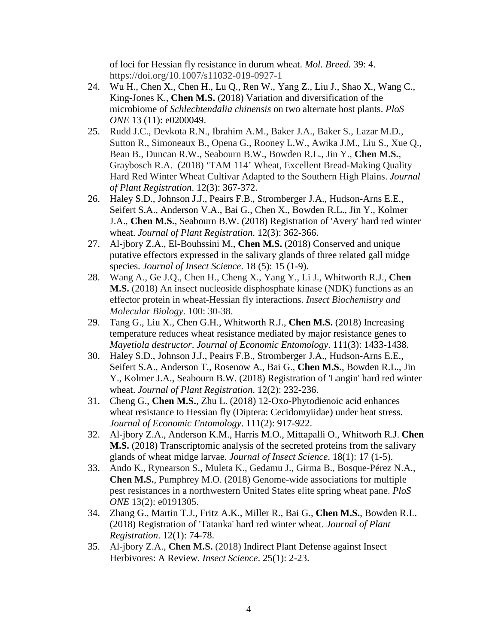of loci for Hessian fly resistance in durum wheat. *Mol. Breed.* 39: 4. https://doi.org/10.1007/s11032-019-0927-1

- 24. Wu H., Chen X., Chen H., Lu Q., Ren W., Yang Z., Liu J., Shao X., Wang C., King-Jones K., **Chen M.S.** (2018) Variation and diversification of the microbiome of *Schlechtendalia chinensis* on two alternate host plants. *PloS ONE* 13 (11): e0200049.
- 25. Rudd J.C., Devkota R.N., Ibrahim A.M., Baker J.A., Baker S., Lazar M.D., Sutton R., Simoneaux B., Opena G., Rooney L.W., Awika J.M., Liu S., Xue Q., Bean B., Duncan R.W., Seabourn B.W., Bowden R.L., Jin Y., **Chen M.S.**, Graybosch R.A. (2018) 'TAM 114' Wheat, Excellent Bread-Making Quality Hard Red Winter Wheat Cultivar Adapted to the Southern High Plains. *Journal of Plant Registration*. 12(3): 367-372.
- 26. Haley S.D., Johnson J.J., Peairs F.B., Stromberger J.A., Hudson-Arns E.E., Seifert S.A., Anderson V.A., Bai G., Chen X., Bowden R.L., Jin Y., Kolmer J.A., **Chen M.S.**, Seabourn B.W. (2018) Registration of 'Avery' hard red winter wheat. *Journal of Plant Registration*. 12(3): 362-366.
- 27. Al-jbory Z.A., El-Bouhssini M., **Chen M.S.** (2018) Conserved and unique putative effectors expressed in the salivary glands of three related gall midge species. *Journal of Insect Science*. 18 (5): 15 (1-9).
- 28. Wang A., Ge J.Q., Chen H., Cheng X., Yang Y., Li J., Whitworth R.J., **Chen M.S.** (2018) An insect nucleoside disphosphate kinase (NDK) functions as an effector protein in wheat-Hessian fly interactions. *Insect Biochemistry and Molecular Biology*. 100: 30-38.
- 29. Tang G., Liu X., Chen G.H., Whitworth R.J., **Chen M.S.** (2018) Increasing temperature reduces wheat resistance mediated by major resistance genes to *Mayetiola destructor*. *Journal of Economic Entomology*. 111(3): 1433-1438.
- 30. Haley S.D., Johnson J.J., Peairs F.B., Stromberger J.A., Hudson-Arns E.E., Seifert S.A., Anderson T., Rosenow A., Bai G., **Chen M.S.**, Bowden R.L., Jin Y., Kolmer J.A., Seabourn B.W. (2018) Registration of 'Langin' hard red winter wheat. *Journal of Plant Registration*. 12(2): 232-236.
- 31. Cheng G., **Chen M.S.**, Zhu L. (2018) 12-Oxo-Phytodienoic acid enhances wheat resistance to Hessian fly (Diptera: Cecidomyiidae) under heat stress. *Journal of Economic Entomology*. 111(2): 917-922.
- 32. Al-jbory Z.A., Anderson K.M., Harris M.O., Mittapalli O., Whitworh R.J. **Chen M.S.** (2018) Transcriptomic analysis of the secreted proteins from the salivary glands of wheat midge larvae. *Journal of Insect Science*. 18(1): 17 (1-5).
- 33. Ando K., Rynearson S., Muleta K., Gedamu J., Girma B., Bosque-Pérez N.A., **Chen M.S.**, Pumphrey M.O. (2018) Genome-wide associations for multiple pest resistances in a northwestern United States elite spring wheat pane. *PloS ONE* 13(2): e0191305.
- 34. Zhang G., Martin T.J., Fritz A.K., Miller R., Bai G., **Chen M.S.**, Bowden R.L. (2018) Registration of 'Tatanka' hard red winter wheat. *Journal of Plant Registration*. 12(1): 74-78.
- 35. Al-jbory Z.A., **Chen M.S.** (2018) Indirect Plant Defense against Insect Herbivores: A Review. *Insect Science*. 25(1): 2-23.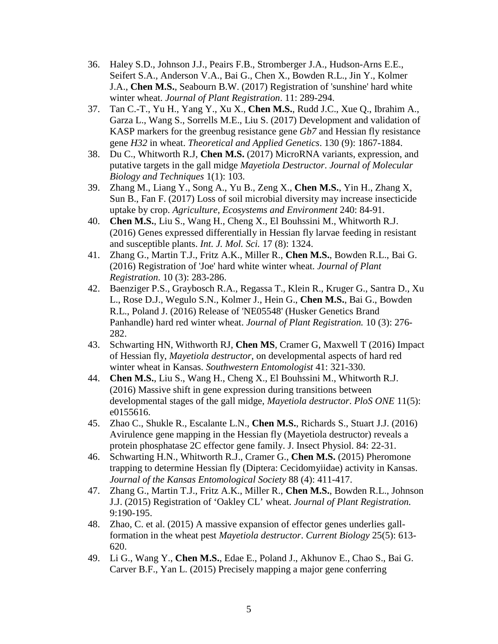- 36. Haley S.D., Johnson J.J., Peairs F.B., Stromberger J.A., Hudson-Arns E.E., Seifert S.A., Anderson V.A., Bai G., Chen X., Bowden R.L., Jin Y., Kolmer J.A., **Chen M.S.**, Seabourn B.W. (2017) Registration of 'sunshine' hard white winter wheat. *Journal of Plant Registration*. 11: 289-294.
- 37. Tan C.-T., Yu H., Yang Y., Xu X., **Chen M.S.**, Rudd J.C., Xue Q., Ibrahim A., Garza L., Wang S., Sorrells M.E., Liu S. (2017) Development and validation of KASP markers for the greenbug resistance gene *Gb7* and Hessian fly resistance gene *H32* in wheat. *Theoretical and Applied Genetics*. 130 (9): 1867-1884.
- 38. Du C., Whitworth R.J, **Chen M.S.** (2017) MicroRNA variants, expression, and putative targets in the gall midge *Mayetiola Destructor*. *Journal of Molecular Biology and Techniques* 1(1): 103.
- 39. Zhang M., Liang Y., Song A., Yu B., Zeng X., **Chen M.S.**, Yin H., Zhang X, Sun B., Fan F. (2017) Loss of soil microbial diversity may increase insecticide uptake by crop. *Agriculture, Ecosystems and Environment* 240: 84-91.
- 40. **Chen M.S.**, Liu S., Wang H., Cheng X., El Bouhssini M., Whitworth R.J. (2016) Genes expressed differentially in Hessian fly larvae feeding in resistant and susceptible plants. *Int. J. Mol. Sci.* 17 (8): 1324.
- 41. Zhang G., Martin T.J., Fritz A.K., Miller R., **Chen M.S.**, Bowden R.L., Bai G. (2016) Registration of 'Joe' hard white winter wheat. *Journal of Plant Registration*. 10 (3): 283-286.
- 42. Baenziger P.S., Graybosch R.A., Regassa T., Klein R., Kruger G., Santra D., Xu L., Rose D.J., Wegulo S.N., Kolmer J., Hein G., **Chen M.S.**, Bai G., Bowden R.L., Poland J. (2016) Release of 'NE05548' (Husker Genetics Brand Panhandle) hard red winter wheat. *Journal of Plant Registration.* 10 (3): 276- 282.
- 43. Schwarting HN, Withworth RJ, **Chen MS**, Cramer G, Maxwell T (2016) Impact of Hessian fly, *Mayetiola destructor*, on developmental aspects of hard red winter wheat in Kansas. *Southwestern Entomologist* 41: 321-330.
- 44. **Chen M.S.**, Liu S., Wang H., Cheng X., El Bouhssini M., Whitworth R.J. (2016) Massive shift in gene expression during transitions between developmental stages of the gall midge, *Mayetiola destructor*. *PloS ONE* 11(5): e0155616.
- 45. Zhao C., Shukle R., Escalante L.N., **Chen M.S.**, Richards S., Stuart J.J. (2016) Avirulence gene mapping in the Hessian fly (Mayetiola destructor) reveals a protein phosphatase 2C effector gene family. J. Insect Physiol. 84: 22-31.
- 46. Schwarting H.N., Whitworth R.J., Cramer G., **Chen M.S.** (2015) Pheromone trapping to determine Hessian fly (Diptera: Cecidomyiidae) activity in Kansas. *Journal of the Kansas Entomological Society* 88 (4): 411-417.
- 47. Zhang G., Martin T.J., Fritz A.K., Miller R., **Chen M.S.**, Bowden R.L., Johnson J.J. (2015) Registration of 'Oakley CL' wheat. *Journal of Plant Registration.* 9:190-195.
- 48. Zhao, C. et al. (2015) A massive expansion of effector genes underlies gallformation in the wheat pest *Mayetiola destructor*. *Current Biology* 25(5): 613- 620.
- 49. Li G., Wang Y., **Chen M.S.**, Edae E., Poland J., Akhunov E., Chao S., Bai G. Carver B.F., Yan L. (2015) Precisely mapping a major gene conferring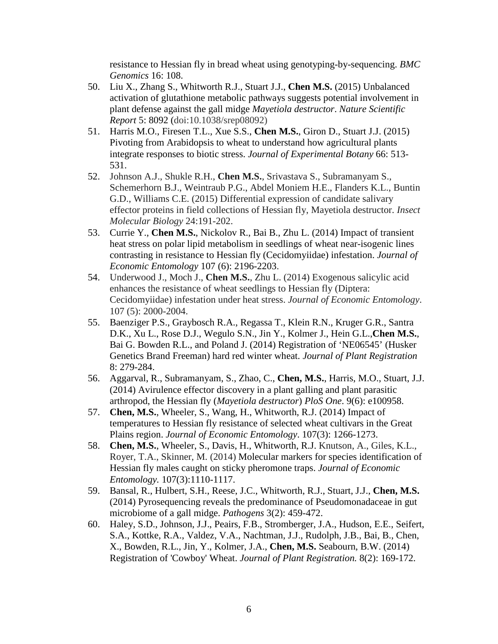resistance to Hessian fly in bread wheat using genotyping-by-sequencing. *BMC Genomics* 16: 108.

- 50. Liu X., Zhang S., Whitworth R.J., Stuart J.J., **Chen M.S.** (2015) Unbalanced activation of glutathione metabolic pathways suggests potential involvement in plant defense against the gall midge *Mayetiola destructor*. *Nature Scientific Report* 5: 8092 (doi:10.1038/srep08092)
- 51. Harris M.O., Firesen T.L., Xue S.S., **Chen M.S.**, Giron D., Stuart J.J. (2015) Pivoting from Arabidopsis to wheat to understand how agricultural plants integrate responses to biotic stress. *Journal of Experimental Botany* 66: 513- 531.
- 52. Johnson A.J., Shukle R.H., **Chen M.S.**, Srivastava S., Subramanyam S., Schemerhorn B.J., Weintraub P.G., Abdel Moniem H.E., Flanders K.L., Buntin G.D., Williams C.E. (2015) Differential expression of candidate salivary effector proteins in field collections of Hessian fly, Mayetiola destructor. *Insect Molecular Biology* 24:191-202.
- 53. Currie Y., **Chen M.S.**, Nickolov R., Bai B., Zhu L. (2014) Impact of transient heat stress on polar lipid metabolism in seedlings of wheat near-isogenic lines contrasting in resistance to Hessian fly (Cecidomyiidae) infestation. *Journal of Economic Entomology* 107 (6): 2196-2203.
- 54. Underwood J., Moch J., **Chen M.S.**, Zhu L. (2014) Exogenous salicylic acid enhances the resistance of wheat seedlings to Hessian fly (Diptera: Cecidomyiidae) infestation under heat stress. *Journal of Economic Entomology*. 107 (5): 2000-2004.
- 55. Baenziger P.S., Graybosch R.A., Regassa T., Klein R.N., Kruger G.R., Santra D.K., Xu L., Rose D.J., Wegulo S.N., Jin Y., Kolmer J., Hein G.L.,**Chen M.S.**, Bai G. Bowden R.L., and Poland J. (2014) Registration of 'NE06545' (Husker Genetics Brand Freeman) hard red winter wheat. *Journal of Plant Registration* 8: 279-284.
- 56. Aggarval, R., Subramanyam, S., Zhao, C., **Chen, M.S.**, Harris, M.O., Stuart, J.J. (2014) Avirulence effector discovery in a plant galling and plant parasitic arthropod, the Hessian fly (*Mayetiola destructor*) *PloS One*. 9(6): e100958.
- 57. **Chen, M.S.**, Wheeler, S., Wang, H., Whitworth, R.J. (2014) Impact of temperatures to Hessian fly resistance of selected wheat cultivars in the Great Plains region. *Journal of Economic Entomology*. 107(3): 1266-1273.
- 58. **Chen, M.S.**, Wheeler, S., Davis, H., Whitworth, R.J. Knutson, A., Giles, K.L., Royer, T.A., Skinner, M. (2014) Molecular markers for species identification of Hessian fly males caught on sticky pheromone traps. *Journal of Economic Entomology.* 107(3):1110-1117.
- 59. Bansal, R., Hulbert, S.H., Reese, J.C., Whitworth, R.J., Stuart, J.J., **Chen, M.S.** (2014) Pyrosequencing reveals the predominance of Pseudomonadaceae in gut microbiome of a gall midge. *Pathogens* 3(2): 459-472.
- 60. Haley, S.D., Johnson, J.J., Peairs, F.B., Stromberger, J.A., Hudson, E.E., Seifert, S.A., Kottke, R.A., Valdez, V.A., Nachtman, J.J., Rudolph, J.B., Bai, B., Chen, X., Bowden, R.L., Jin, Y., Kolmer, J.A., **Chen, M.S.** Seabourn, B.W. (2014) Registration of 'Cowboy' Wheat. *Journal of Plant Registration.* 8(2): 169-172.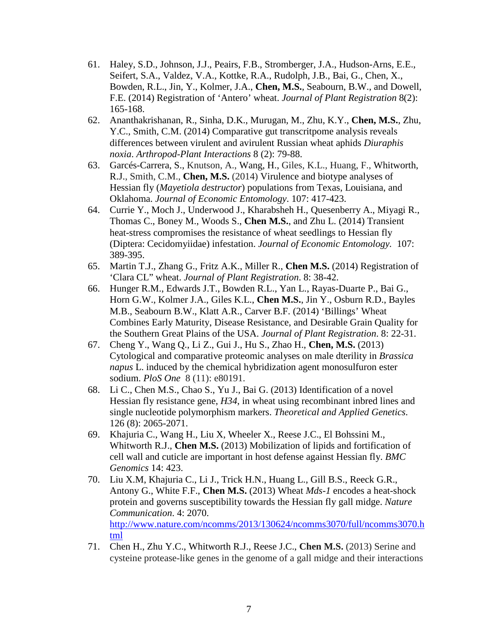- 61. Haley, S.D., Johnson, J.J., Peairs, F.B., Stromberger, J.A., Hudson-Arns, E.E., Seifert, S.A., Valdez, V.A., Kottke, R.A., Rudolph, J.B., Bai, G., Chen, X., Bowden, R.L., Jin, Y., Kolmer, J.A., **Chen, M.S.**, Seabourn, B.W., and Dowell, F.E. (2014) Registration of 'Antero' wheat. *Journal of Plant Registration* 8(2): 165-168.
- 62. Ananthakrishanan, R., Sinha, D.K., Murugan, M., Zhu, K.Y., **Chen, M.S.**, Zhu, Y.C., Smith, C.M. (2014) Comparative gut transcritpome analysis reveals differences between virulent and avirulent Russian wheat aphids *Diuraphis noxia*. *Arthropod-Plant Interactions* 8 (2): 79-88.
- 63. Garcés-Carrera, S., Knutson, A., Wang, H., Giles, K.L., Huang, F., Whitworth, R.J., Smith, C.M., **Chen, M.S.** (2014) Virulence and biotype analyses of Hessian fly (*Mayetiola destructor*) populations from Texas, Louisiana, and Oklahoma. *Journal of Economic Entomology*. 107: 417-423.
- 64. Currie Y., Moch J., Underwood J., Kharabsheh H., Quesenberry A., Miyagi R., Thomas C., Boney M., Woods S., **Chen M.S.**, and Zhu L. (2014) Transient heat-stress compromises the resistance of wheat seedlings to Hessian fly (Diptera: Cecidomyiidae) infestation. *Journal of Economic Entomology.* 107: 389-395.
- 65. Martin T.J., Zhang G., Fritz A.K., Miller R., **Chen M.S.** (2014) Registration of 'Clara CL" wheat. *Journal of Plant Registration*. 8: 38-42.
- 66. Hunger R.M., Edwards J.T., Bowden R.L., Yan L., Rayas-Duarte P., Bai G., Horn G.W., Kolmer J.A., Giles K.L., **Chen M.S.**, Jin Y., Osburn R.D., Bayles M.B., Seabourn B.W., Klatt A.R., Carver B.F. (2014) 'Billings' Wheat Combines Early Maturity, Disease Resistance, and Desirable Grain Quality for the Southern Great Plains of the USA. *Journal of Plant Registration*. 8: 22-31.
- 67. Cheng Y., Wang Q., Li Z., Gui J., Hu S., Zhao H., **Chen, M.S.** (2013) Cytological and comparative proteomic analyses on male dterility in *Brassica napus* L. induced by the chemical hybridization agent monosulfuron ester sodium. *PloS One* 8 (11): e80191.
- 68. Li C., Chen M.S., Chao S., Yu J., Bai G. (2013) Identification of a novel Hessian fly resistance gene, *H34*, in wheat using recombinant inbred lines and single nucleotide polymorphism markers. *Theoretical and Applied Genetics.* 126 (8): 2065-2071.
- 69. Khajuria C., Wang H., Liu X, Wheeler X., Reese J.C., El Bohssini M., Whitworth R.J., **Chen M.S.** (2013) Mobilization of lipids and fortification of cell wall and cuticle are important in host defense against Hessian fly. *BMC Genomics* 14: 423.
- 70. Liu X.M, Khajuria C., Li J., Trick H.N., Huang L., Gill B.S., Reeck G.R., Antony G., White F.F., **Chen M.S.** (2013) Wheat *Mds-1* encodes a heat-shock protein and governs susceptibility towards the Hessian fly gall midge. *Nature Communication*. 4: 2070. [http://www.nature.com/ncomms/2013/130624/ncomms3070/full/ncomms3070.h](http://www.nature.com/ncomms/2013/130624/ncomms3070/full/ncomms3070.html) [tml](http://www.nature.com/ncomms/2013/130624/ncomms3070/full/ncomms3070.html)
- 71. Chen H., Zhu Y.C., Whitworth R.J., Reese J.C., **Chen M.S.** (2013) Serine and cysteine protease-like genes in the genome of a gall midge and their interactions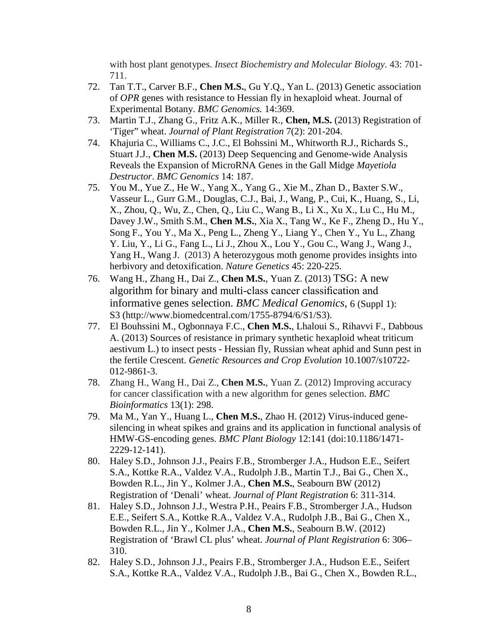with host plant genotypes. *Insect Biochemistry and Molecular Biology*. 43: 701- 711.

- 72. Tan T.T., Carver B.F., **Chen M.S.**, Gu Y.Q., Yan L. (2013) Genetic association of *OPR* genes with resistance to Hessian fly in hexaploid wheat. Journal of Experimental Botany. *BMC Genomics.* 14:369.
- 73. Martin T.J., Zhang G., Fritz A.K., Miller R., **Chen, M.S.** (2013) Registration of 'Tiger" wheat. *Journal of Plant Registration* 7(2): 201-204.
- 74. Khajuria C., Williams C., J.C., El Bohssini M., Whitworth R.J., Richards S., Stuart J.J., **Chen M.S.** (2013) Deep Sequencing and Genome-wide Analysis Reveals the Expansion of MicroRNA Genes in the Gall Midge *Mayetiola Destructor*. *BMC Genomics* 14: 187.
- 75. You M., Yue Z., He W., Yang X., Yang G., Xie M., Zhan D., Baxter S.W., Vasseur L., Gurr G.M., Douglas, C.J., Bai, J., Wang, P., Cui, K., Huang, S., Li, X., Zhou, Q., Wu, Z., Chen, Q., Liu C., Wang B., Li X., Xu X., Lu C., Hu M., Davey J.W., Smith S.M., **Chen M.S.**, Xia X., Tang W., Ke F., Zheng D., Hu Y., Song F., You Y., Ma X., Peng L., Zheng Y., Liang Y., Chen Y., Yu L., Zhang Y. Liu, Y., Li G., Fang L., Li J., Zhou X., Lou Y., Gou C., Wang J., Wang J., Yang H., Wang J. (2013) A heterozygous moth genome provides insights into herbivory and detoxification. *Nature Genetics* 45: 220-225.
- 76. Wang H., Zhang H., Dai Z., **Chen M.S.**, Yuan Z. (2013) TSG: A new algorithm for binary and multi-class cancer classification and informative genes selection. *BMC Medical Genomics*, 6 (Suppl 1): S3 (http://www.biomedcentral.com/1755-8794/6/S1/S3).
- 77. El Bouhssini M., Ogbonnaya F.C., **Chen M.S.**, Lhaloui S., Rihavvi F., Dabbous A. (2013) Sources of resistance in primary synthetic hexaploid wheat triticum aestivum L.) to insect pests - Hessian fly, Russian wheat aphid and Sunn pest in the fertile Crescent. *Genetic Resources and Crop Evolution* 10.1007/s10722- 012-9861-3.
- 78. Zhang H., Wang H., Dai Z., **Chen M.S.**, Yuan Z. (2012) Improving accuracy for cancer classification with a new algorithm for genes selection. *BMC Bioinformatics* 13(1): 298.
- 79. Ma M., Yan Y., Huang L., **Chen M.S.**, Zhao H. (2012) Virus-induced genesilencing in wheat spikes and grains and its application in functional analysis of HMW-GS-encoding genes. *BMC Plant Biology* 12:141 (doi:10.1186/1471- 2229-12-141).
- 80. Haley S.D., Johnson J.J., Peairs F.B., Stromberger J.A., Hudson E.E., Seifert S.A., Kottke R.A., Valdez V.A., Rudolph J.B., Martin T.J., Bai G., Chen X., Bowden R.L., Jin Y., Kolmer J.A., **Chen M.S.**, Seabourn BW (2012) Registration of 'Denali' wheat. *Journal of Plant Registration* 6: 311-314.
- 81. Haley S.D., Johnson J.J., Westra P.H., Peairs F.B., Stromberger J.A., Hudson E.E., Seifert S.A., Kottke R.A., Valdez V.A., Rudolph J.B., Bai G., Chen X., Bowden R.L., Jin Y., Kolmer J.A., **Chen M.S.**, Seabourn B.W. (2012) Registration of 'Brawl CL plus' wheat. *Journal of Plant Registration* 6: 306– 310.
- 82. Haley S.D., Johnson J.J., Peairs F.B., Stromberger J.A., Hudson E.E., Seifert S.A., Kottke R.A., Valdez V.A., Rudolph J.B., Bai G., Chen X., Bowden R.L.,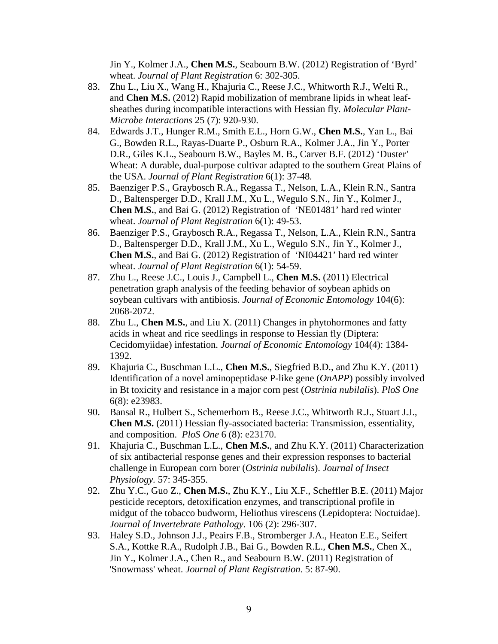Jin Y., Kolmer J.A., **Chen M.S.**, Seabourn B.W. (2012) Registration of 'Byrd' wheat. *Journal of Plant Registration* 6: 302-305.

- 83. Zhu L., Liu X., Wang H., Khajuria C., Reese J.C., Whitworth R.J., Welti R., and **Chen M.S.** (2012) Rapid mobilization of membrane lipids in wheat leafsheathes during incompatible interactions with Hessian fly. *Molecular Plant-Microbe Interactions* 25 (7): 920-930.
- 84. Edwards J.T., Hunger R.M., Smith E.L., Horn G.W., **Chen M.S.**, Yan L., Bai G., Bowden R.L., Rayas-Duarte P., Osburn R.A., Kolmer J.A., Jin Y., Porter D.R., Giles K.L., Seabourn B.W., Bayles M. B., Carver B.F. (2012) 'Duster' Wheat: A durable, dual-purpose cultivar adapted to the southern Great Plains of the USA. *Journal of Plant Registration* 6(1): 37-48*.*
- 85. Baenziger P.S., Graybosch R.A., Regassa T., Nelson, L.A., Klein R.N., Santra D., Baltensperger D.D., Krall J.M., Xu L., Wegulo S.N., Jin Y., Kolmer J., **Chen M.S.**, and Bai G. (2012) Registration of 'NE01481' hard red winter wheat. *Journal of Plant Registration* 6(1): 49-53.
- 86. Baenziger P.S., Graybosch R.A., Regassa T., Nelson, L.A., Klein R.N., Santra D., Baltensperger D.D., Krall J.M., Xu L., Wegulo S.N., Jin Y., Kolmer J., **Chen M.S.**, and Bai G. (2012) Registration of 'NI04421' hard red winter wheat. *Journal of Plant Registration* 6(1): 54-59.
- 87. Zhu L., Reese J.C., Louis J., Campbell L., **Chen M.S.** (2011) Electrical penetration graph analysis of the feeding behavior of soybean aphids on soybean cultivars with antibiosis. *Journal of Economic Entomology* 104(6): 2068-2072.
- 88. Zhu L., **Chen M.S.**, and Liu X. (2011) Changes in phytohormones and fatty acids in wheat and rice seedlings in response to Hessian fly (Diptera: Cecidomyiidae) infestation. *Journal of Economic Entomology* 104(4): 1384- 1392.
- 89. Khajuria C., Buschman L.L., **Chen M.S.**, Siegfried B.D., and Zhu K.Y. (2011) Identification of a novel aminopeptidase P-like gene (*OnAPP*) possibly involved in Bt toxicity and resistance in a major corn pest (*Ostrinia nubilalis*). *PloS One* 6(8): e23983.
- 90. Bansal R., Hulbert S., Schemerhorn B., Reese J.C., Whitworth R.J., Stuart J.J., **Chen M.S.** (2011) Hessian fly-associated bacteria: Transmission, essentiality, and composition. *PloS One* 6 (8): e23170.
- 91. Khajuria C., Buschman L.L., **Chen M.S.**, and Zhu K.Y. (2011) Characterization of six antibacterial response genes and their expression responses to bacterial challenge in European corn borer (*Ostrinia nubilalis*). *Journal of Insect Physiology.* 57: 345-355.
- 92. Zhu Y.C., Guo Z., **Chen M.S.**, Zhu K.Y., Liu X.F., Scheffler B.E. (2011) Major pesticide receptors, detoxification enzymes, and transcriptional profile in midgut of the tobacco budworm, Heliothus virescens (Lepidoptera: Noctuidae). *Journal of Invertebrate Pathology*. 106 (2): 296-307.
- 93. Haley S.D., Johnson J.J., Peairs F.B., Stromberger J.A., Heaton E.E., Seifert S.A., Kottke R.A., Rudolph J.B., Bai G., Bowden R.L., **Chen M.S.**, Chen X., Jin Y., Kolmer J.A., Chen R., and Seabourn B.W. (2011) Registration of 'Snowmass' wheat. *Journal of Plant Registration*. 5: 87-90.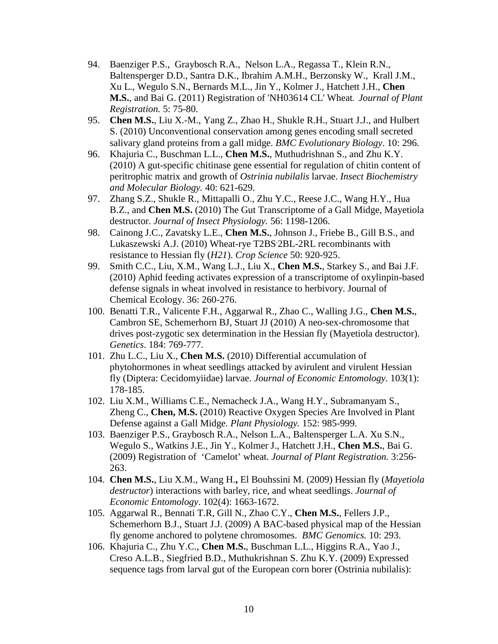- 94. Baenziger P.S., Graybosch R.A., Nelson L.A., Regassa T., Klein R.N., Baltensperger D.D., Santra D.K., Ibrahim A.M.H., Berzonsky W., Krall J.M., Xu L., Wegulo S.N., Bernards M.L., Jin Y., Kolmer J., Hatchett J.H., **Chen M.S.**, and Bai G. (2011) Registration of 'NH03614 CL' Wheat. *Journal of Plant Registration.* 5: 75-80.
- 95. **Chen M.S.**, Liu X.-M., Yang Z., Zhao H., Shukle R.H., Stuart J.J., and Hulbert S. (2010) Unconventional conservation among genes encoding small secreted salivary gland proteins from a gall midge. *BMC Evolutionary Biology*. 10: 296.
- 96. Khajuria C., Buschman L.L., **Chen M.S.**, Muthudrishnan S., and Zhu K.Y. (2010) A gut-specific chitinase gene essential for regulation of chitin content of peritrophic matrix and growth of *Ostrinia nubilalis* larvae. *Insect Biochemistry and Molecular Biology.* 40: 621-629.
- 97. Zhang S.Z., Shukle R., Mittapalli O., Zhu Y.C., Reese J.C., Wang H.Y., Hua B.Z., and **Chen M.S.** (2010) The Gut Transcriptome of a Gall Midge, Mayetiola destructor. *Journal of Insect Physiology.* 56: 1198-1206.
- 98. Cainong J.C., Zavatsky L.E., **Chen M.S.**, Johnson J., Friebe B., Gill B.S., and Lukaszewski A.J. (2010) Wheat-rye T2BS 2BL-2RL recombinants with resistance to Hessian fly (*H21*). *Crop Science* 50: 920-925.
- 99. Smith C.C., Liu, X.M., Wang L.J., Liu X., **Chen M.S.**, Starkey S., and Bai J.F. (2010) Aphid feeding activates expression of a transcriptome of oxylinpin-based defense signals in wheat involved in resistance to herbivory. Journal of Chemical Ecology. 36: 260-276.
- 100. Benatti T.R., Valicente F.H., Aggarwal R., Zhao C., Walling J.G., **Chen M.S.**, Cambron SE, Schemerhorn BJ, Stuart JJ (2010) A neo-sex-chromosome that drives post-zygotic sex determination in the Hessian fly (Mayetiola destructor). *Genetics*. 184: 769-777.
- 101. Zhu L.C., Liu X., **Chen M.S.** (2010) Differential accumulation of phytohormones in wheat seedlings attacked by avirulent and virulent Hessian fly (Diptera: Cecidomyiidae) larvae. *Journal of Economic Entomology*. 103(1): 178-185.
- 102. Liu X.M., Williams C.E., Nemacheck J.A., Wang H.Y., Subramanyam S., Zheng C., **Chen, M.S.** (2010) Reactive Oxygen Species Are Involved in Plant Defense against a Gall Midge. *Plant Physiology.* 152: 985-999.
- 103. Baenziger P.S., Graybosch R.A., Nelson L.A., Baltensperger L.A. Xu S.N., Wegulo S., Watkins J.E., Jin Y., Kolmer J., Hatchett J.H., **Chen M.S.**, Bai G. (2009) Registration of 'Camelot' wheat. *Journal of Plant Registration.* 3:256- 263.
- 104. **Chen M.S.**, Liu X.M., Wang H.**,** El Bouhssini M. (2009) Hessian fly (*Mayetiola destructor*) interactions with barley, rice, and wheat seedlings. *Journal of Economic Entomology*. 102(4): 1663-1672.
- 105. Aggarwal R., Bennati T.R, Gill N., Zhao C.Y., **Chen M.S.**, Fellers J.P., Schemerhorn B.J., Stuart J.J. (2009) A BAC-based physical map of the Hessian fly genome anchored to polytene chromosomes. *BMC Genomics.* 10: 293.
- 106. Khajuria C., Zhu Y.C., **Chen M.S.**, Buschman L.L., Higgins R.A., Yao J., Creso A.L.B., Siegfried B.D., Muthukrishnan S. Zhu K.Y. (2009) Expressed sequence tags from larval gut of the European corn borer (Ostrinia nubilalis):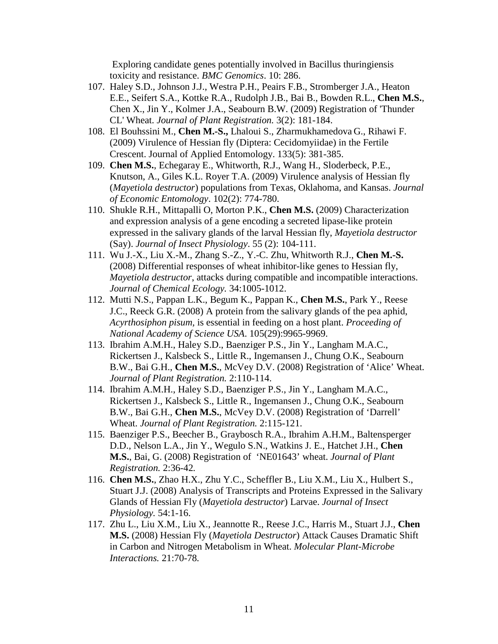Exploring candidate genes potentially involved in Bacillus thuringiensis toxicity and resistance. *BMC Genomics*. 10: 286.

- 107. Haley S.D., Johnson J.J., Westra P.H., Peairs F.B., Stromberger J.A., Heaton E.E., Seifert S.A., Kottke R.A., Rudolph J.B., Bai B., Bowden R.L., **Chen M.S.**, Chen X., Jin Y., Kolmer J.A., Seabourn B.W. (2009) Registration of 'Thunder CL' Wheat. *Journal of Plant Registration.* 3(2): 181-184.
- 108. El Bouhssini M., **Chen M.-S.,** Lhaloui S., Zharmukhamedova G., Rihawi F. (2009) Virulence of Hessian fly (Diptera: Cecidomyiidae) in the Fertile Crescent. Journal of Applied Entomology. 133(5): 381-385.
- 109. **Chen M.S.**, Echegaray E., Whitworth, R.J., Wang H., Sloderbeck, P.E., Knutson, A., Giles K.L. Royer T.A. (2009) Virulence analysis of Hessian fly (*Mayetiola destructor*) populations from Texas, Oklahoma, and Kansas. *Journal of Economic Entomology*. 102(2): 774-780.
- 110. Shukle R.H., Mittapalli O, Morton P.K., **Chen M.S.** (2009) Characterization and expression analysis of a gene encoding a secreted lipase-like protein expressed in the salivary glands of the larval Hessian fly, *Mayetiola destructor* (Say). *Journal of Insect Physiology*. 55 (2): 104-111.
- 111. Wu J.-X., Liu X.-M., Zhang S.-Z., Y.-C. Zhu, Whitworth R.J., **Chen M.-S.** (2008) Differential responses of wheat inhibitor-like genes to Hessian fly, *Mayetiola destructor*, attacks during compatible and incompatible interactions. *Journal of Chemical Ecology.* 34:1005-1012.
- 112. Mutti N.S., Pappan L.K., Begum K., Pappan K., **Chen M.S.**, Park Y., Reese J.C., Reeck G.R. (2008) A protein from the salivary glands of the pea aphid, *Acyrthosiphon pisum,* is essential in feeding on a host plant. *Proceeding of National Academy of Science USA*. 105(29):9965-9969.
- 113. Ibrahim A.M.H., Haley S.D., Baenziger P.S., Jin Y., Langham M.A.C., Rickertsen J., Kalsbeck S., Little R., Ingemansen J., Chung O.K., Seabourn B.W., Bai G.H., **Chen M.S.**, McVey D.V. (2008) Registration of 'Alice' Wheat. *Journal of Plant Registration.* 2:110-114.
- 114. Ibrahim A.M.H., Haley S.D., Baenziger P.S., Jin Y., Langham M.A.C., Rickertsen J., Kalsbeck S., Little R., Ingemansen J., Chung O.K., Seabourn B.W., Bai G.H., **Chen M.S.**, McVey D.V. (2008) Registration of 'Darrell' Wheat. *Journal of Plant Registration.* 2:115-121.
- 115. Baenziger P.S., Beecher B., Graybosch R.A., Ibrahim A.H.M., Baltensperger D.D., Nelson L.A., Jin Y., Wegulo S.N., Watkins J. E., Hatchet J.H., **Chen M.S.**, Bai, G. (2008) Registration of 'NE01643' wheat. *Journal of Plant Registration.* 2:36-42*.*
- 116. **Chen M.S.**, Zhao H.X., Zhu Y.C., Scheffler B., Liu X.M., Liu X., Hulbert S., Stuart J.J. (2008) Analysis of Transcripts and Proteins Expressed in the Salivary Glands of Hessian Fly (*Mayetiola destructor*) Larvae. *Journal of Insect Physiology.* 54:1-16.
- 117. Zhu L., Liu X.M., Liu X., Jeannotte R., Reese J.C., Harris M., Stuart J.J., **Chen M.S.** (2008) Hessian Fly (*Mayetiola Destructor*) Attack Causes Dramatic Shift in Carbon and Nitrogen Metabolism in Wheat. *Molecular Plant-Microbe Interactions.* 21:70-78*.*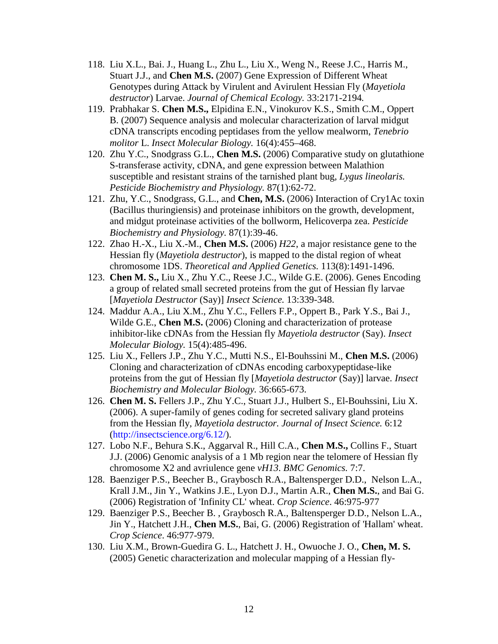- 118. Liu X.L., Bai. J., Huang L., Zhu L., Liu X., Weng N., Reese J.C., Harris M., Stuart J.J., and **Chen M.S.** (2007) Gene Expression of Different Wheat Genotypes during Attack by Virulent and Avirulent Hessian Fly (*Mayetiola destructor*) Larvae. *Journal of Chemical Ecology.* 33:2171-2194*.*
- 119. Prabhakar S. **Chen M.S.,** Elpidina E.N., Vinokurov K.S., Smith C.M., Oppert B. (2007) Sequence analysis and molecular characterization of larval midgut cDNA transcripts encoding peptidases from the yellow mealworm, *Tenebrio molitor* L. *Insect Molecular Biology.* 16(4):455–468.
- 120. Zhu Y.C., Snodgrass G.L., **Chen M.S.** (2006) Comparative study on glutathione S-transferase activity, cDNA, and gene expression between Malathion susceptible and resistant strains of the tarnished plant bug, *Lygus lineolaris. Pesticide Biochemistry and Physiology.* 87(1):62-72.
- 121. Zhu, Y.C., Snodgrass, G.L., and **Chen, M.S.** (2006) Interaction of Cry1Ac toxin (Bacillus thuringiensis) and proteinase inhibitors on the growth, development, and midgut proteinase activities of the bollworm, Helicoverpa zea. *Pesticide Biochemistry and Physiology.* 87(1):39-46.
- 122. Zhao H.-X., Liu X.-M., **Chen M.S.** (2006) *H22*, a major resistance gene to the Hessian fly (*Mayetiola destructor*), is mapped to the distal region of wheat chromosome 1DS. *Theoretical and Applied Genetics.* 113(8):1491-1496.
- 123. **Chen M. S.,** Liu X., Zhu Y.C., Reese J.C., Wilde G.E. (2006). Genes Encoding a group of related small secreted proteins from the gut of Hessian fly larvae [*Mayetiola Destructor* (Say)] *Insect Science.* 13:339-348.
- 124. Maddur A.A., Liu X.M., Zhu Y.C., Fellers F.P., Oppert B., Park Y.S., Bai J., Wilde G.E., **Chen M.S.** (2006) Cloning and characterization of protease inhibitor-like cDNAs from the Hessian fly *Mayetiola destructor* (Say). *Insect Molecular Biology.* 15(4):485-496.
- 125. Liu X., Fellers J.P., Zhu Y.C., Mutti N.S., El-Bouhssini M., **Chen M.S.** (2006) Cloning and characterization of cDNAs encoding carboxypeptidase-like proteins from the gut of Hessian fly [*Mayetiola destructor* (Say)] larvae. *Insect Biochemistry and Molecular Biology.* 36:665-673.
- 126. **Chen M. S.** Fellers J.P., Zhu Y.C., Stuart J.J., Hulbert S., El-Bouhssini, Liu X. (2006). A super-family of genes coding for secreted salivary gland proteins from the Hessian fly, *Mayetiola destructor. Journal of Insect Science.* 6:12 [\(http://insectscience.org/6.12/\)](http://insectscience.org/6.12/).
- 127. Lobo N.F., Behura S.K., Aggarval R., Hill C.A., **Chen M.S.,** Collins F., Stuart J.J. (2006) Genomic analysis of a 1 Mb region near the telomere of Hessian fly chromosome X2 and avriulence gene *vH13*. *BMC Genomics.* 7:7.
- 128. Baenziger P.S., Beecher B., Graybosch R.A., Baltensperger D.D., Nelson L.A., Krall J.M., Jin Y., Watkins J.E., Lyon D.J., Martin A.R., **Chen M.S.**, and Bai G. (2006) Registration of 'Infinity CL' wheat. *Crop Science*. 46:975-977
- 129. Baenziger P.S., Beecher B. , Graybosch R.A., Baltensperger D.D., Nelson L.A., Jin Y., Hatchett J.H., **Chen M.S.**, Bai, G. (2006) Registration of 'Hallam' wheat. *Crop Science*. 46:977-979.
- 130. Liu X.M., Brown-Guedira G. L., Hatchett J. H., Owuoche J. O., **Chen, M. S.** (2005) Genetic characterization and molecular mapping of a Hessian fly-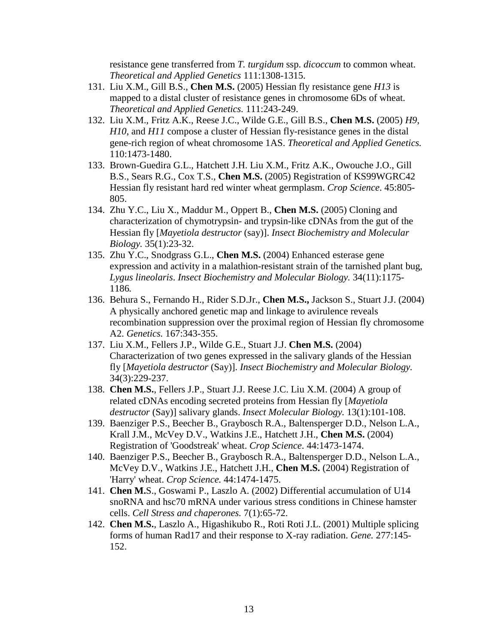resistance gene transferred from *T. turgidum* ssp. *dicoccum* to common wheat. *Theoretical and Applied Genetics* 111:1308-1315.

- 131. Liu X.M., Gill B.S., **Chen M.S.** (2005) Hessian fly resistance gene *H13* is mapped to a distal cluster of resistance genes in chromosome 6Ds of wheat. *Theoretical and Applied Genetics.* 111:243-249.
- 132. Liu X.M., Fritz A.K., Reese J.C., Wilde G.E., Gill B.S., **Chen M.S.** (2005) *H9*, *H10*, and *H11* compose a cluster of Hessian fly-resistance genes in the distal gene-rich region of wheat chromosome 1AS. *Theoretical and Applied Genetics.*  110:1473-1480.
- 133. Brown-Guedira G.L., Hatchett J.H. Liu X.M., Fritz A.K., Owouche J.O., Gill B.S., Sears R.G., Cox T.S., **Chen M.S.** (2005) Registration of KS99WGRC42 Hessian fly resistant hard red winter wheat germplasm. *Crop Science*. 45:805- 805.
- 134. Zhu Y.C., Liu X., Maddur M., Oppert B., **Chen M.S.** (2005) Cloning and characterization of chymotrypsin- and trypsin-like cDNAs from the gut of the Hessian fly [*Mayetiola destructor* (say)]. *Insect Biochemistry and Molecular Biology.* 35(1):23-32.
- 135. Zhu Y.C., Snodgrass G.L., **Chen M.S.** (2004) Enhanced esterase gene expression and activity in a malathion-resistant strain of the tarnished plant bug, *Lygus lineolaris*. *Insect Biochemistry and Molecular Biology.* 34(11):1175- 1186*.*
- 136. Behura S., Fernando H., Rider S.D.Jr., **Chen M.S.,** Jackson S., Stuart J.J. (2004) A physically anchored genetic map and linkage to avirulence reveals recombination suppression over the proximal region of Hessian fly chromosome A2. *Genetics.* 167:343-355.
- 137. Liu X.M., Fellers J.P., Wilde G.E., Stuart J.J. **Chen M.S.** (2004) Characterization of two genes expressed in the salivary glands of the Hessian fly [*Mayetiola destructor* (Say)]. *Insect Biochemistry and Molecular Biology.* 34(3):229-237.
- 138. **Chen M.S.**, Fellers J.P., Stuart J.J. Reese J.C. Liu X.M. (2004) A group of related cDNAs encoding secreted proteins from Hessian fly [*Mayetiola destructor* (Say)] salivary glands. *Insect Molecular Biology.* 13(1):101-108.
- 139. Baenziger P.S., Beecher B., Graybosch R.A., Baltensperger D.D., Nelson L.A., Krall J.M., McVey D.V., Watkins J.E., Hatchett J.H., **Chen M.S.** (2004) Registration of 'Goodstreak' wheat. *Crop Science*. 44:1473-1474.
- 140. Baenziger P.S., Beecher B., Graybosch R.A., Baltensperger D.D., Nelson L.A., McVey D.V., Watkins J.E., Hatchett J.H., **Chen M.S.** (2004) Registration of 'Harry' wheat. *Crop Science.* 44:1474-1475.
- 141. **Chen M.**S., Goswami P., Laszlo A. (2002) Differential accumulation of U14 snoRNA and hsc70 mRNA under various stress conditions in Chinese hamster cells. *Cell Stress and chaperones.* 7(1):65-72.
- 142. **Chen M.S.**, Laszlo A., Higashikubo R., Roti Roti J.L. (2001) Multiple splicing forms of human Rad17 and their response to X-ray radiation. *Gene.* 277:145- 152.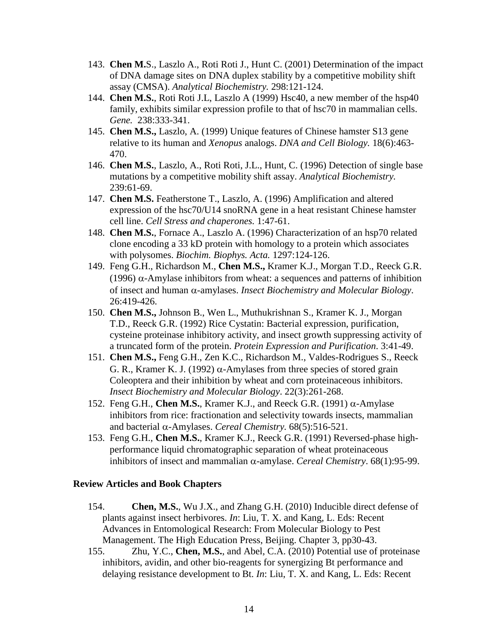- 143. **Chen M.**S., Laszlo A., Roti Roti J., Hunt C. (2001) Determination of the impact of DNA damage sites on DNA duplex stability by a competitive mobility shift assay (CMSA). *Analytical Biochemistry.* 298:121-124.
- 144. **Chen M.S.**, Roti Roti J.L, Laszlo A (1999) Hsc40, a new member of the hsp40 family, exhibits similar expression profile to that of hsc70 in mammalian cells. *Gene.* 238:333-341.
- 145. **Chen M.S.,** Laszlo, A. (1999) Unique features of Chinese hamster S13 gene relative to its human and *Xenopus* analogs. *DNA and Cell Biology.* 18(6):463- 470.
- 146. **Chen M.S.**, Laszlo, A., Roti Roti, J.L., Hunt, C. (1996) Detection of single base mutations by a competitive mobility shift assay. *Analytical Biochemistry.* 239:61-69.
- 147. **Chen M.S.** Featherstone T., Laszlo, A. (1996) Amplification and altered expression of the hsc70/U14 snoRNA gene in a heat resistant Chinese hamster cell line. *Cell Stress and chaperones.* 1:47-61.
- 148. **Chen M.S.**, Fornace A., Laszlo A. (1996) Characterization of an hsp70 related clone encoding a 33 kD protein with homology to a protein which associates with polysomes. *Biochim. Biophys. Acta.* 1297:124-126.
- 149. Feng G.H., Richardson M., **Chen M.S.,** Kramer K.J., Morgan T.D., Reeck G.R. (1996)  $\alpha$ -Amylase inhibitors from wheat: a sequences and patterns of inhibition of insect and human α-amylases. *Insect Biochemistry and Molecular Biology*. 26:419-426.
- 150. **Chen M.S.,** Johnson B., Wen L., Muthukrishnan S., Kramer K. J., Morgan T.D., Reeck G.R. (1992) Rice Cystatin: Bacterial expression, purification, cysteine proteinase inhibitory activity, and insect growth suppressing activity of a truncated form of the protein. *Protein Expression and Purification*. 3:41-49.
- 151. **Chen M.S.,** Feng G.H., Zen K.C., Richardson M., Valdes-Rodrigues S., Reeck G. R., Kramer K. J. (1992)  $\alpha$ -Amylases from three species of stored grain Coleoptera and their inhibition by wheat and corn proteinaceous inhibitors. *Insect Biochemistry and Molecular Biology*. 22(3):261-268.
- 152. Feng G.H., **Chen M.S.**, Kramer K.J., and Reeck G.R. (1991) α-Amylase inhibitors from rice: fractionation and selectivity towards insects, mammalian and bacterial α-Amylases. *Cereal Chemistry.* 68(5):516-521.
- 153. Feng G.H., **Chen M.S.**, Kramer K.J., Reeck G.R. (1991) Reversed-phase highperformance liquid chromatographic separation of wheat proteinaceous inhibitors of insect and mammalian α-amylase. *Cereal Chemistry*. 68(1):95-99.

#### **Review Articles and Book Chapters**

- 154. **Chen, M.S.**, Wu J.X., and Zhang G.H. (2010) Inducible direct defense of plants against insect herbivores. *In*: Liu, T. X. and Kang, L. Eds: Recent Advances in Entomological Research: From Molecular Biology to Pest Management. The High Education Press, Beijing. Chapter 3, pp30-43.
- 155. Zhu, Y.C., **Chen, M.S.**, and Abel, C.A. (2010) Potential use of proteinase inhibitors, avidin, and other bio-reagents for synergizing Bt performance and delaying resistance development to Bt. *In*: Liu, T. X. and Kang, L. Eds: Recent